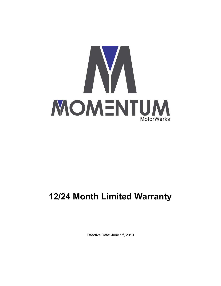

## 12/24 Month Limited Warranty

Effective Date: June 1st, 2019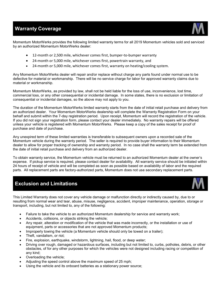## Warranty Coverage



Momentum MotorWerks provides the following limited warranty terms for all 2019 Momentum vehicles sold and serviced by an authorized Momentum MotorWerks dealer:

- 12-month or 2,500 mile, whichever comes first, bumper-to-bumper warranty
- 24-month or 5,000 mile, whichever comes first, powertrain warranty, and
- 24-month or 5,000 mile, whichever comes first, warranty on heating/cooling system.

Any Momentum MotorWerks dealer will repair and/or replace without charge any parts found under normal use to be defective for material or workmanship. There will be no service charge for labor for approved warranty claims due to material or workmanship.

Momentum MotorWerks, as provided by law, shall not be held liable for the loss of use, inconvenience, lost time, commercial loss, or any other consequential or incidental damage. In some states, there is no exclusion or limitation of consequential or incidental damages, so the above may not apply to you.

The duration of the Momentum MotorWerks limited warranty starts from the date of initial retail purchase and delivery from an authorized dealer. Your Momentum MotorWerks dealership will complete the Warranty Registration Form on your behalf and submit within the 7-day registration period. Upon receipt, Momentum will record the registration of the vehicle. If you did not sign your registration form, please contact your dealer immediately. No warranty repairs will be offered unless your vehicle is registered with Momentum MotorWerks. Please keep a copy of the sales receipt for proof of purchase and date of purchase.

Any unexpired term of these limited warranties is transferable to subsequent owners upon a recorded sale of the Momentum vehicle during the warranty period. The seller is required to provide buyer information to their Momentum dealer to allow for proper tracking of ownership and warranty period. In no case shall the warranty term be extended from the date of initial retail purchase and delivery from an authorized dealer.

To obtain warranty service, the Momentum vehicle must be returned to an authorized Momentum dealer at the owner's expense. If pickup service is required, please contact dealer for availability. All warranty service should be initiated within 24 hours of receipt of vehicle and will be completed as soon as possible based on availability of labor and the required parts. All replacement parts are factory-authorized parts, Momentum does not use secondary replacement parts.

## Exclusion and Limitations



This Limited Warranty does not cover any vehicle damage or malfunction directly or indirectly caused by, due to or resulting from normal wear and tear, abuse, misuse, negligence, accident, improper maintenance, operation, storage or transport, including, but not limited to, any of the following:

- Failure to take the vehicle to an authorized Momentum dealership for service and warranty work;
- Accidents, collisions, or objects striking the vehicle;
- Any repair, alteration or modification of the vehicle that was made incorrectly, or the installation or use of equipment, parts or accessories that are not approved Momentum products;
- Improperly towing the vehicle (a Momentum vehicle should only be towed on a trailer);
- Theft, vandalism, or riot;
- Fire, explosion, earthquake, windstorm, lightning, hail, flood, or deep water;
- Driving over rough, damaged or hazardous surfaces, including but not limited to, curbs, potholes, debris, or other obstacles, of for any other purposes for which the vehicles were not designed including racing or competition of any kind;
- Overloading the vehicle;
- Adjusting the speed control above the maximum speed of 25 mph;
- Using the vehicle and its onboard batteries as a stationary power source;